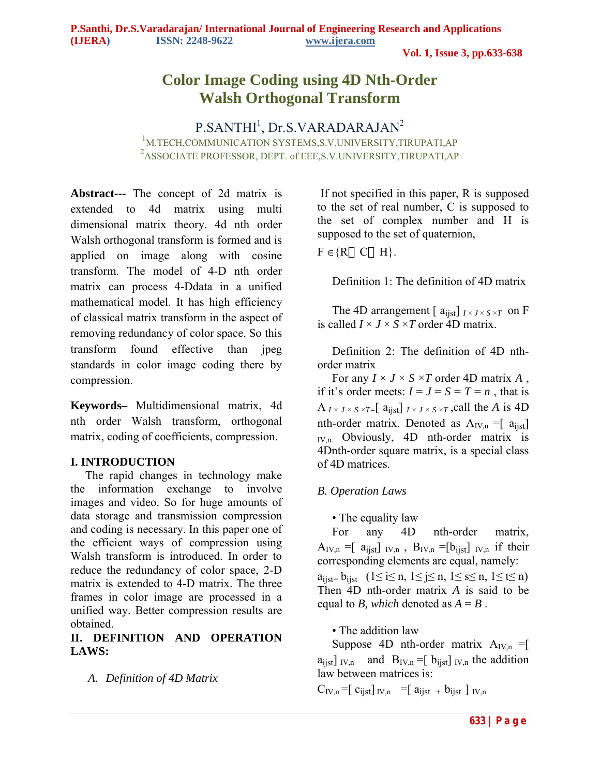# **Color Image Coding using 4D Nth-Order Walsh Orthogonal Transform**

P.SANTHI<sup>1</sup>, Dr.S.VARADARAJAN<sup>2</sup> 1 M.TECH,COMMUNICATION SYSTEMS,S.V.UNIVERSITY,TIRUPATI,AP 2 ASSOCIATE PROFESSOR, DEPT. of EEE,S.V.UNIVERSITY,TIRUPATI,AP

**Abstract---** The concept of 2d matrix is extended to 4d matrix using multi dimensional matrix theory. 4d nth order Walsh orthogonal transform is formed and is applied on image along with cosine transform. The model of 4-D nth order matrix can process 4-Ddata in a unified mathematical model. It has high efficiency of classical matrix transform in the aspect of removing redundancy of color space. So this transform found effective than jpeg standards in color image coding there by compression.

**Keywords–** Multidimensional matrix, 4d nth order Walsh transform, orthogonal matrix, coding of coefficients, compression.

### **I. INTRODUCTION**

 The rapid changes in technology make the information exchange to involve images and video. So for huge amounts of data storage and transmission compression and coding is necessary. In this paper one of the efficient ways of compression using Walsh transform is introduced. In order to reduce the redundancy of color space, 2-D matrix is extended to 4-D matrix. The three frames in color image are processed in a unified way. Better compression results are obtained.

## **II. DEFINITION AND OPERATION LAWS:**

*A. Definition of 4D Matrix*

If not specified in this paper, R is supposed to the set of real number, C is supposed to the set of complex number and H is supposed to the set of quaternion,

 $F \in \{R \mid C \mid H\}.$ 

Definition 1: The definition of 4D matrix

The 4D arrangement  $\left[$  a<sub>ijst</sub> $\right]$   $\left[$   $\left[$   $\right]$   $\left[$   $\left[$   $\right]$   $\left[$   $\left[$   $\right]$   $\left[$   $\right]$   $\left[$   $\left[$   $\right]$   $\left[$   $\left[$   $\right]$   $\left[$   $\left[$   $\right]$   $\left[$   $\left[$   $\right]$   $\left[$   $\left[$   $\right]$   $\left[$   $\left[$   $\right]$   $\left[$   $\left$ is called  $I \times J \times S \times T$  order 4D matrix.

 Definition 2: The definition of 4D nthorder matrix

For any  $I \times J \times S \times T$  order 4D matrix A, if it's order meets:  $I = J = S = T = n$ , that is  $A_{I \times J \times S \times T=}$  [a<sub>ijst</sub>]  $I \times J \times S \times T$ , call the *A* is 4D nth-order matrix. Denoted as  $A_{IV,n} = [a_{i}]$  $I_{\text{IV,n}}$  Obviously, 4D nth-order matrix is 4Dnth-order square matrix, is a special class of 4D matrices.

## *B. Operation Laws*

• The equality law

 For any 4D nth-order matrix,  $A_{IV,n} = [a_{ijst}]_{IV,n}$ ,  $B_{IV,n} = [b_{ijst}]_{IV,n}$  if their corresponding elements are equal, namely:

 $a_{\text{list}} = b_{\text{list}}$   $(1 \leq i \leq n, 1 \leq j \leq n, 1 \leq s \leq n, 1 \leq t \leq n)$ Then 4D nth-order matrix *A* is said to be equal to *B*, which denoted as  $A = B$ .

• The addition law

Suppose 4D nth-order matrix  $A_{IV,n} =$ [  $a_{\text{list}}$  IV<sub>,n</sub> and B<sub>IV,n</sub> =[  $b_{\text{list}}$  I<sub>V,n</sub> the addition law between matrices is:

 $C_{\text{IV,n}} = \begin{bmatrix} c_{\text{iist}} \end{bmatrix}_{\text{IV,n}} = \begin{bmatrix} a_{\text{iist}} + b_{\text{iist}} \end{bmatrix}_{\text{IV,n}}$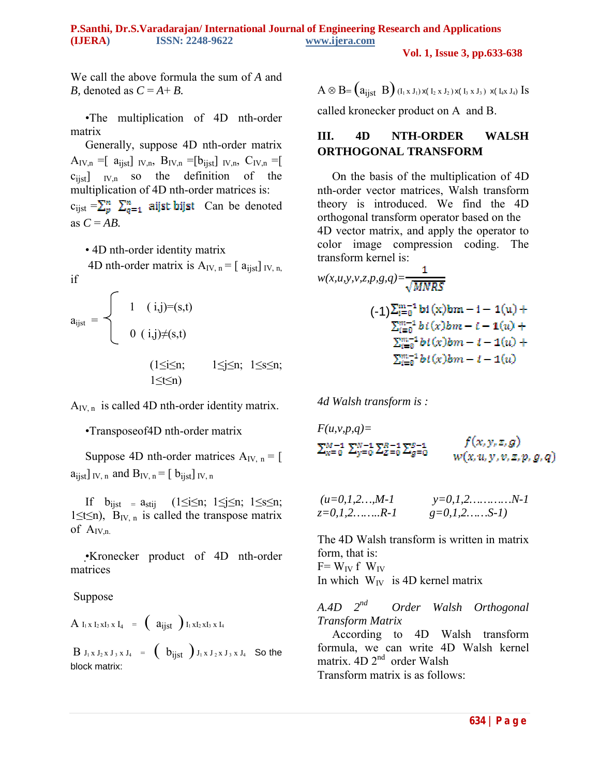**Vol. 1, Issue 3, pp.633-638**

We call the above formula the sum of *A* and *B*, denoted as  $C = A + B$ .

 •The multiplication of 4D nth-order matrix

 Generally, suppose 4D nth-order matrix  $A_{IV,n} = [ a_{i,jst} ]_{IV,n}$ ,  $B_{IV,n} = [ b_{i,jst} ]_{IV,n}$ ,  $C_{IV,n} = [ a_{i,jst} ]_{IV,n}$  $c_{i,j}$   $\begin{bmatrix} V_{i} \\ V_{j} \end{bmatrix}$  so the definition of the multiplication of 4D nth-order matrices is:  $c_{i,jst} = \sum_{\alpha=1}^n \sum_{\alpha=1}^n$  aijst bijst Can be denoted as  $C = AB$ .

• 4D nth-order identity matrix

4D nth-order matrix is  $A_{IV, n} = \int a_{i} |v_n|$ , if

$$
a_{ijst} = \begin{cases} 1 & (i,j)=(s,t) \\ 0 & (i,j)\neq(s,t) \\ & (1\leq i\leq n; \\ & 1\leq i\leq n; \end{cases}
$$

 $A_{IV,n}$  is called 4D nth-order identity matrix.

•Transposeof4D nth-order matrix

Suppose 4D nth-order matrices  $A_{IV,n} = [$  $a_{\text{list}}$ ] <sub>IV, n</sub> and  $B_{\text{IV}, n}$  = [  $b_{\text{list}}$ ] <sub>IV, n</sub>

If  $b_{i,jst} = a_{stij}$  (1≤i≤n; 1≤j≤n; 1≤s≤n; 1≤t≤n), B<sub>IV, n</sub> is called the transpose matrix of  $A_{IVn}$ 

 •Kronecker product of 4D nth-order matrices

#### Suppose

$$
A_{I_1 x I_2 x I_3 x I_4} = (a_{i j s t})_{I_1 x I_2 x I_3 x I_4}
$$

 $B J_1 x J_2 x J_3 x J_4 = (b_{i,jst}) J_1 x J_2 x J_3 x J_4$  So the block matrix:

 $A \otimes B = (a_{i,jst} B)$  ( $I_1 \times J_1$ )  $x(I_2 \times J_2) x(I_3 \times J_3) x(I_4 \times J_4)$  Is

called kronecker product on A and B.

## **III. 4D NTH-ORDER WALSH ORTHOGONAL TRANSFORM**

 On the basis of the multiplication of 4D nth-order vector matrices, Walsh transform theory is introduced. We find the 4D orthogonal transform operator based on the 4D vector matrix, and apply the operator to color image compression coding. The transform kernel is:

$$
w(x, u, y, v, z, p, g, q) = \frac{1}{\sqrt{MNRS}}
$$
  
\n
$$
(-1) \sum_{i=0}^{m-1} \text{bi}(x) \text{bm} - i - 1(u) + \sum_{i=0}^{m-1} \text{bi}(x) \text{bm} - i - 1(u) + \sum_{i=0}^{m-1} \text{bi}(x) \text{bm} - i - 1(u) + \sum_{i=0}^{m-1} \text{bi}(x) \text{bm} - i - 1(u)
$$

*4d Walsh transform is :*

$$
F(u, v, p, q) = \sum_{x=0}^{M-1} \sum_{y=0}^{N-1} \sum_{z=0}^{R-1} \sum_{g=0}^{S-1} \qquad f(x, y, z, g)
$$
  

$$
w(x, u, y, v, z, p, g, q)
$$

$$
(u=0,1,2...,M-1
$$
  
  $y=0,1,2...,N-1$   
  $g=0,1,2,......S-1$ 

The 4D Walsh transform is written in matrix form, that is:  $F= W_{IV} f W_{IV}$ In which  $W_{IV}$  is 4D kernel matrix

*A.4D 2nd Order Walsh Orthogonal Transform Matrix*

 According to 4D Walsh transform formula, we can write 4D Walsh kernel matrix.  $4D 2<sup>nd</sup>$  order Walsh Transform matrix is as follows: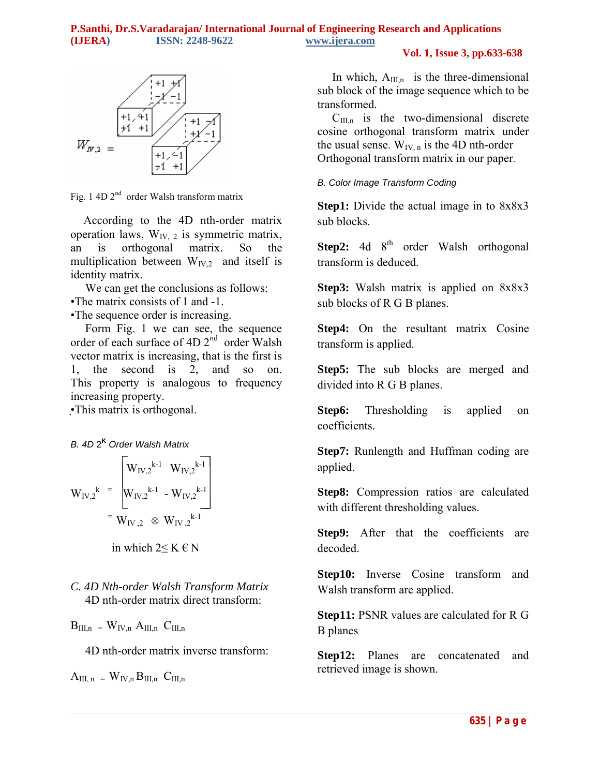**Vol. 1, Issue 3, pp.633-638**



Fig. 1 4D  $2<sup>nd</sup>$  order Walsh transform matrix

 According to the 4D nth-order matrix operation laws,  $W_{IV}$ , is symmetric matrix, an is orthogonal matrix. So the multiplication between  $W_{IV,2}$  and itself is identity matrix.

We can get the conclusions as follows:

•The matrix consists of 1 and -1.

•The sequence order is increasing.

 Form Fig. 1 we can see, the sequence order of each surface of 4D 2<sup>nd</sup> order Walsh vector matrix is increasing, that is the first is 1, the second is 2, and so on. This property is analogous to frequency increasing property.

•This matrix is orthogonal.

## *B. 4D* 2**<sup>K</sup>** *Order Walsh Matrix*

$$
W_{IV,2}^{k} = \begin{bmatrix} W_{IV,2}^{k-1} & W_{IV,2}^{k-1} \\ W_{IV,2}^{k-1} & - W_{IV,2}^{k-1} \\ \vdots & \vdots & \vdots \\ W_{IV,2} & \otimes W_{IV,2}^{k-1} \end{bmatrix}
$$

in which  $2≤ K ∈ N$ 

*C. 4D Nth-order Walsh Transform Matrix* 4D nth-order matrix direct transform:

 $B_{III,n} = W_{IV,n} A_{III,n} C_{III,n}$ 

4D nth-order matrix inverse transform:

$$
A_{III,\,n} \ =\ W_{IV,n}\,B_{III,n} \ \ C_{III,n}
$$

In which,  $A_{III,n}$  is the three-dimensional sub block of the image sequence which to be transformed.

 $C<sub>III.n</sub>$  is the two-dimensional discrete cosine orthogonal transform matrix under the usual sense.  $W_{IV,n}$  is the 4D nth-order Orthogonal transform matrix in our paper.

### *B. Color Image Transform Coding*

**Step1:** Divide the actual image in to 8x8x3 sub blocks.

**Step2:** 4d 8<sup>th</sup> order Walsh orthogonal transform is deduced.

**Step3:** Walsh matrix is applied on 8x8x3 sub blocks of R G B planes.

**Step4:** On the resultant matrix Cosine transform is applied.

**Step5:** The sub blocks are merged and divided into R G B planes.

**Step6:** Thresholding is applied on coefficients.

**Step7:** Runlength and Huffman coding are applied.

**Step8:** Compression ratios are calculated with different thresholding values.

**Step9:** After that the coefficients are decoded.

**Step10:** Inverse Cosine transform and Walsh transform are applied.

**Step11:** PSNR values are calculated for R G B planes

**Step12:** Planes are concatenated and retrieved image is shown.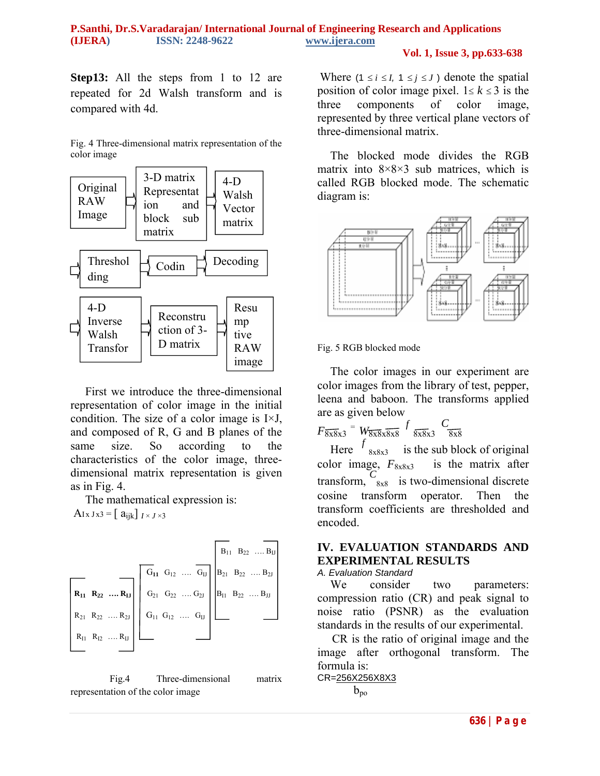#### **Vol. 1, Issue 3, pp.633-638**

**Step13:** All the steps from 1 to 12 are repeated for 2d Walsh transform and is compared with 4d.

Fig. 4 Three-dimensional matrix representation of the color image



 First we introduce the three-dimensional representation of color image in the initial condition. The size of a color image is I×J, and composed of R, G and B planes of the same size. So according to the characteristics of the color image, threedimensional matrix representation is given as in Fig. 4.

The mathematical expression is:

AIx  $Jx3 = \begin{bmatrix} a_{ijk} \end{bmatrix} I \times I \times 3$ 



 Fig.4 Three-dimensional matrix representation of the color image

Where  $(1 \le i \le I, 1 \le j \le J)$  denote the spatial position of color image pixel.  $1 \le k \le 3$  is the three components of color image, represented by three vertical plane vectors of three-dimensional matrix.

 The blocked mode divides the RGB matrix into  $8 \times 8 \times 3$  sub matrices, which is called RGB blocked mode. The schematic diagram is:



#### Fig. 5 RGB blocked mode

 The color images in our experiment are color images from the library of test, pepper, leena and baboon. The transforms applied are as given below

 $F \overline{8x8x3}$  =  $W \overline{8x8x8x8}$  *f*  $\overline{8x8x3}$   $C \overline{8x8}$ 

Here  $f_{8x8x3}$  is the sub block of original color image, *F*8x8x3 is the matrix after transform,  $C_{8x8}$  is two-dimensional discrete cosine transform operator. Then the transform coefficients are thresholded and encoded.

### **IV. EVALUATION STANDARDS AND EXPERIMENTAL RESULTS**

#### *A. Evaluation Standard*

We consider two parameters: compression ratio (CR) and peak signal to noise ratio (PSNR) as the evaluation standards in the results of our experimental.

 CR is the ratio of original image and the image after orthogonal transform. The formula is:

```
CR=256X256X8X3
b_{\text{po}}
```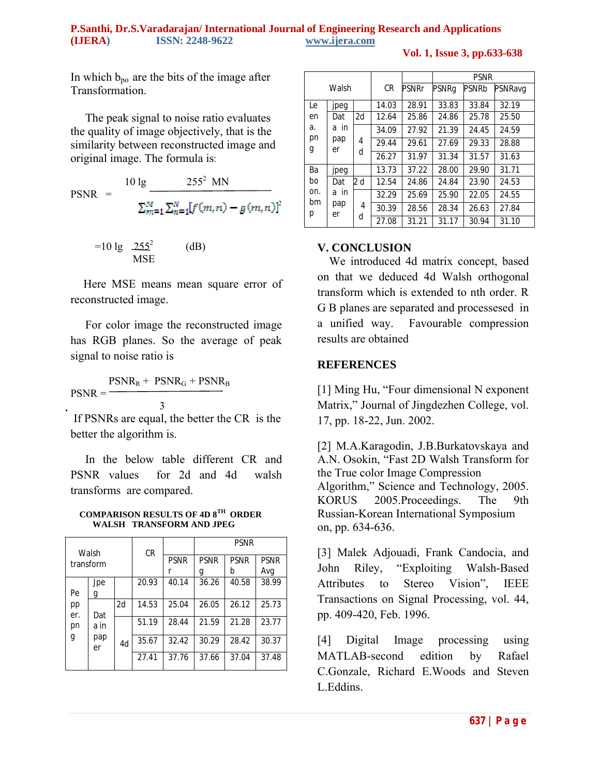**Vol. 1, Issue 3, pp.633-638**

In which  $b_{\text{po}}$  are the bits of the image after **Transformation** 

 The peak signal to noise ratio evaluates the quality of image objectively, that is the similarity between reconstructed image and original image. The formula is:

 $10 \lg 255^2$  MN  $PSNR =$  $\sum_{m=1}^{M} \sum_{n=1}^{N} [f(m,n) - g(m,n)]^2$ 

$$
=10 \lg \frac{255^2}{MSE}
$$
 (dB)

 Here MSE means mean square error of reconstructed image.

 For color image the reconstructed image has RGB planes. So the average of peak signal to noise ratio is

 $PSNR_R + PSNR_G + PSNR_B$  $PSNR =$ 3

If PSNRs are equal, the better the CR is the better the algorithm is.

 In the below table different CR and PSNR values for 2d and 4d walsh transforms are compared.

 **COMPARISON RESULTS OF 4D 8TH ORDER WALSH TRANSFORM AND JPEG**

| Walsh<br>transform |                   | <b>CR</b> |             | <b>PSNR</b> |             |             |       |
|--------------------|-------------------|-----------|-------------|-------------|-------------|-------------|-------|
|                    |                   |           | <b>PSNR</b> | <b>PSNR</b> | <b>PSNR</b> | <b>PSNR</b> |       |
|                    |                   |           |             | g           | b           | Avg         |       |
|                    | Jpe               |           | 20.93       | 40.14       | 36.26       | 40.58       | 38.99 |
| Pe                 | g                 |           |             |             |             |             |       |
| pp                 |                   | 2d        | 14.53       | 25.04       | 26.05       | 26.12       | 25.73 |
| er.                | Dat               |           |             |             |             |             |       |
| pn<br>g            | a in<br>pap<br>er | 4d        | 51.19       | 28.44       | 21.59       | 21.28       | 23.77 |
|                    |                   |           | 35.67       | 32.42       | 30.29       | 28.42       | 30.37 |
|                    |                   |           | 27.41       | 37.76       | 37.66       | 37.04       | 37.48 |

| Walsh                |                             |        |           |       | <b>PSNR</b> |              |         |
|----------------------|-----------------------------|--------|-----------|-------|-------------|--------------|---------|
|                      |                             |        | <b>CR</b> | PSNRr | PSNRg       | <b>PSNRb</b> | PSNRavg |
| Le                   | jpeg                        |        | 14.03     | 28.91 | 33.83       | 33.84        | 32.19   |
| en<br>a.<br>pn<br>g  | Dat<br>a in<br>pap<br>er    | 2d     | 12.64     | 25.86 | 24.86       | 25.78        | 25.50   |
|                      |                             | 4<br>d | 34.09     | 27.92 | 21.39       | 24.45        | 24.59   |
|                      |                             |        | 29.44     | 29.61 | 27.69       | 29.33        | 28.88   |
|                      |                             |        | 26.27     | 31.97 | 31.34       | 31.57        | 31.63   |
| Ba                   | jpeg                        |        | 13.73     | 37.22 | 28.00       | 29.90        | 31.71   |
| bo<br>on.<br>bm<br>р | Dat<br>in<br>a<br>pap<br>er | 2 d    | 12.54     | 24.86 | 24.84       | 23.90        | 24.53   |
|                      |                             | 4      | 32.29     | 25.69 | 25.90       | 22.05        | 24.55   |
|                      |                             |        | 30.39     | 28.56 | 28.34       | 26.63        | 27.84   |
|                      |                             | d      | 27.08     | 31.21 | 31.17       | 30.94        | 31.10   |

### **V. CONCLUSION**

 We introduced 4d matrix concept, based on that we deduced 4d Walsh orthogonal transform which is extended to nth order. R G B planes are separated and processesed in a unified way. Favourable compression results are obtained

#### **REFERENCES**

[1] Ming Hu, "Four dimensional N exponent Matrix," Journal of Jingdezhen College, vol. 17, pp. 18-22, Jun. 2002.

[2] M.A.Karagodin, J.B.Burkatovskaya and A.N. Osokin, "Fast 2D Walsh Transform for the True color Image Compression Algorithm," Science and Technology, 2005. KORUS 2005.Proceedings. The 9th Russian-Korean International Symposium on, pp. 634-636.

[3] Malek Adjouadi, Frank Candocia, and John Riley, "Exploiting Walsh-Based Attributes to Stereo Vision", IEEE Transactions on Signal Processing, vol. 44, pp. 409-420, Feb. 1996.

[4] Digital Image processing using MATLAB-second edition by Rafael C.Gonzale, Richard E.Woods and Steven L.Eddins.